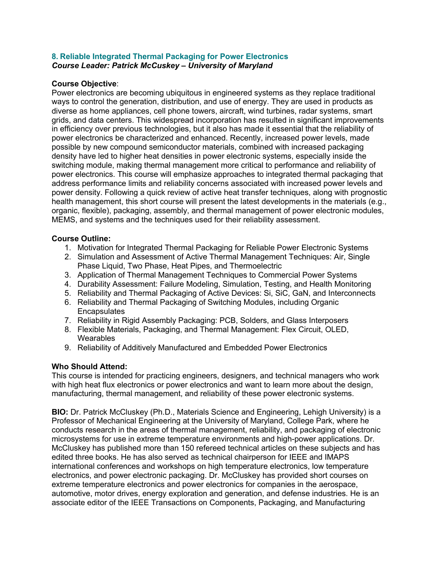## **8. Reliable Integrated Thermal Packaging for Power Electronics** *Course Leader: Patrick McCuskey – University of Maryland*

## **Course Objective**:

Power electronics are becoming ubiquitous in engineered systems as they replace traditional ways to control the generation, distribution, and use of energy. They are used in products as diverse as home appliances, cell phone towers, aircraft, wind turbines, radar systems, smart grids, and data centers. This widespread incorporation has resulted in significant improvements in efficiency over previous technologies, but it also has made it essential that the reliability of power electronics be characterized and enhanced. Recently, increased power levels, made possible by new compound semiconductor materials, combined with increased packaging density have led to higher heat densities in power electronic systems, especially inside the switching module, making thermal management more critical to performance and reliability of power electronics. This course will emphasize approaches to integrated thermal packaging that address performance limits and reliability concerns associated with increased power levels and power density. Following a quick review of active heat transfer techniques, along with prognostic health management, this short course will present the latest developments in the materials (e.g., organic, flexible), packaging, assembly, and thermal management of power electronic modules, MEMS, and systems and the techniques used for their reliability assessment.

## **Course Outline:**

- 1. Motivation for Integrated Thermal Packaging for Reliable Power Electronic Systems
- 2. Simulation and Assessment of Active Thermal Management Techniques: Air, Single Phase Liquid, Two Phase, Heat Pipes, and Thermoelectric
- 3. Application of Thermal Management Techniques to Commercial Power Systems
- 4. Durability Assessment: Failure Modeling, Simulation, Testing, and Health Monitoring
- 5. Reliability and Thermal Packaging of Active Devices: Si, SiC, GaN, and Interconnects
- 6. Reliability and Thermal Packaging of Switching Modules, including Organic **Encapsulates**
- 7. Reliability in Rigid Assembly Packaging: PCB, Solders, and Glass Interposers
- 8. Flexible Materials, Packaging, and Thermal Management: Flex Circuit, OLED, **Wearables**
- 9. Reliability of Additively Manufactured and Embedded Power Electronics

## **Who Should Attend:**

This course is intended for practicing engineers, designers, and technical managers who work with high heat flux electronics or power electronics and want to learn more about the design, manufacturing, thermal management, and reliability of these power electronic systems.

**BIO:** Dr. Patrick McCluskey (Ph.D., Materials Science and Engineering, Lehigh University) is a Professor of Mechanical Engineering at the University of Maryland, College Park, where he conducts research in the areas of thermal management, reliability, and packaging of electronic microsystems for use in extreme temperature environments and high-power applications. Dr. McCluskey has published more than 150 refereed technical articles on these subjects and has edited three books. He has also served as technical chairperson for IEEE and IMAPS international conferences and workshops on high temperature electronics, low temperature electronics, and power electronic packaging. Dr. McCluskey has provided short courses on extreme temperature electronics and power electronics for companies in the aerospace, automotive, motor drives, energy exploration and generation, and defense industries. He is an associate editor of the IEEE Transactions on Components, Packaging, and Manufacturing